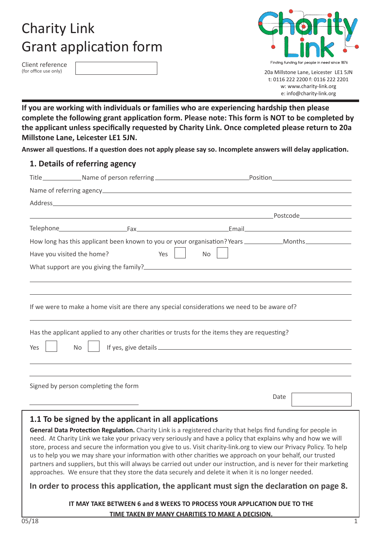# Charity Link Grant application form

Client reference (for office use only)



20a Millstone Lane, Leicester LE1 5JN t: 0116 222 2200 f: 0116 222 2201 w: www.charity-link.org e: info@charity-link.org

**If you are working with individuals or families who are experiencing hardship then please complete the following grant application form. Please note: This form is NOT to be completed by the applicant unless specifically requested by Charity Link. Once completed please return to 20a Millstone Lane, Leicester LE1 5JN.**

**Answer all questions. If a question does not apply please say so. Incomplete answers will delay application.**

#### **1. Details of referring agency**

|                            |                                      | Title_________________Name of person referring __________________________________Position_____________________ |
|----------------------------|--------------------------------------|----------------------------------------------------------------------------------------------------------------|
|                            |                                      |                                                                                                                |
|                            |                                      |                                                                                                                |
|                            |                                      |                                                                                                                |
|                            |                                      |                                                                                                                |
|                            |                                      |                                                                                                                |
| Have you visited the home? | Yes                                  | <b>No</b>                                                                                                      |
|                            |                                      |                                                                                                                |
|                            |                                      |                                                                                                                |
|                            |                                      |                                                                                                                |
|                            |                                      | If we were to make a home visit are there any special considerations we need to be aware of?                   |
|                            |                                      | Has the applicant applied to any other charities or trusts for the items they are requesting?                  |
| Yes                        | <b>No</b>                            | If yes, give details. The process of year and the set of year and the set of year.                             |
|                            |                                      |                                                                                                                |
|                            | Signed by person completing the form |                                                                                                                |
|                            |                                      | Date                                                                                                           |

## **1.1 To be signed by the applicant in all applications**

**General Data Protection Regulation.** Charity Link is a registered charity that helps find funding for people in need. At Charity Link we take your privacy very seriously and have a policy that explains why and how we will store, process and secure the information you give to us. Visit charity-link.org to view our Privacy Policy. To help us to help you we may share your information with other charities we approach on your behalf, our trusted partners and suppliers, but this will always be carried out under our instruction, and is never for their marketing approaches. We ensure that they store the data securely and delete it when it is no longer needed.

### **In order to process this application, the applicant must sign the declaration on page 8.**

**IT MAY TAKE BETWEEN 6 and 8 WEEKS TO PROCESS YOUR APPLICATION DUE TO THE TIME TAKEN BY MANY CHARITIES TO MAKE A DECISION.**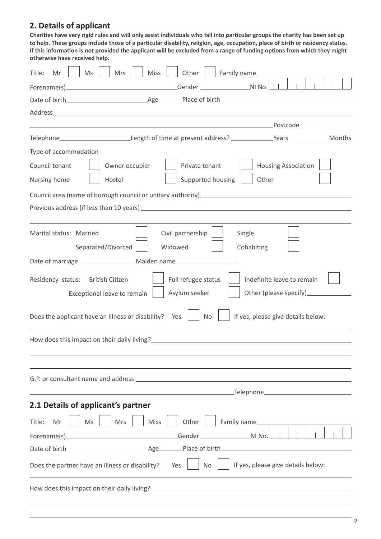# **2. Details of applicant**

 **to help. These groups include those of a particular disability, religion, age, occupation, place of birth or residency status. Charities have very rigid rules and will only assist individuals who fall into particular groups the charity has been set up If this information is not provided the applicant will be excluded from a range of funding options from which they might otherwise have received help.**

| Title:<br>Ms<br>Mrs<br>Mr                             | Miss<br>Family name____<br>Other                                                                                                                                                                                                        |
|-------------------------------------------------------|-----------------------------------------------------------------------------------------------------------------------------------------------------------------------------------------------------------------------------------------|
|                                                       |                                                                                                                                                                                                                                         |
|                                                       |                                                                                                                                                                                                                                         |
|                                                       |                                                                                                                                                                                                                                         |
|                                                       |                                                                                                                                                                                                                                         |
|                                                       | Telephone_____________________________Length of time at present address? _____________Years ____________Months                                                                                                                          |
| Type of accommodation                                 |                                                                                                                                                                                                                                         |
| Council tenant<br>Owner occupier                      | <b>Housing Association</b><br>Private tenant                                                                                                                                                                                            |
| Nursing home<br>Hostel                                | Supported housing<br>Other                                                                                                                                                                                                              |
|                                                       | Council area (name of borough council or unitary authority) _____________________                                                                                                                                                       |
|                                                       |                                                                                                                                                                                                                                         |
|                                                       |                                                                                                                                                                                                                                         |
| Marital status: Married                               | Civil partnership<br>Single                                                                                                                                                                                                             |
| Separated/Divorced                                    | Widowed<br>Cohabiting                                                                                                                                                                                                                   |
|                                                       |                                                                                                                                                                                                                                         |
| Residency status: British Citizen                     | Full refugee status<br>Indefinite leave to remain                                                                                                                                                                                       |
| Exceptional leave to remain                           | Asylum seeker                                                                                                                                                                                                                           |
|                                                       |                                                                                                                                                                                                                                         |
| Does the applicant have an illness or disability? Yes | If yes, please give details below:<br><b>No</b>                                                                                                                                                                                         |
|                                                       |                                                                                                                                                                                                                                         |
|                                                       |                                                                                                                                                                                                                                         |
|                                                       |                                                                                                                                                                                                                                         |
|                                                       |                                                                                                                                                                                                                                         |
|                                                       |                                                                                                                                                                                                                                         |
| 2.1 Details of applicant's partner                    |                                                                                                                                                                                                                                         |
| Title:<br>Mr<br>Ms<br>Mrs                             | Miss<br>Other<br>Family name                                                                                                                                                                                                            |
|                                                       |                                                                                                                                                                                                                                         |
|                                                       |                                                                                                                                                                                                                                         |
| Does the partner have an illness or disability?       | If yes, please give details below:<br>Yes<br>No                                                                                                                                                                                         |
|                                                       | How does this impact on their daily living?<br><u> and the contract of their daily living</u> and the contract of the contract of the contract of the contract of the<br>interval of the contract of the contract of the contract of th |
|                                                       |                                                                                                                                                                                                                                         |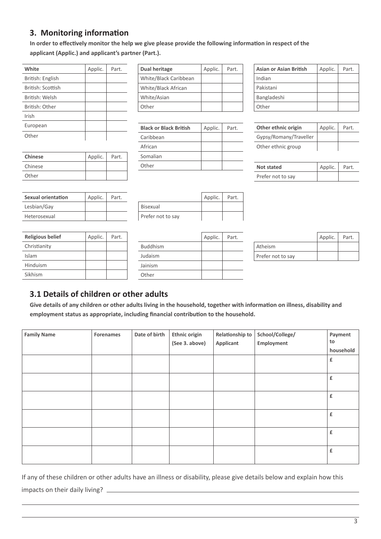# **3. Monitoring information**

**In order to effectively monitor the help we give please provide the following information in respect of the applicant (Applic.) and applicant's partner (Part.).**

| White             | Applic. | Part. |
|-------------------|---------|-------|
| British: English  |         |       |
| British: Scottish |         |       |
| British: Welsh    |         |       |
| British: Other    |         |       |
| Irish             |         |       |
| European          |         |       |
| Other             |         |       |

| Dual heritage         | Applic. | Part. |
|-----------------------|---------|-------|
| White/Black Caribbean |         |       |
| White/Black African   |         |       |
| White/Asian           |         |       |
| Other                 |         |       |

| <b>Black or Black British</b> | Applic. | Part. |
|-------------------------------|---------|-------|
| Caribbean                     |         |       |
| African                       |         |       |
| Somalian                      |         |       |
| Other                         |         |       |

| Asian or Asian British | Applic. | Part. |
|------------------------|---------|-------|
| Indian                 |         |       |
| Pakistani              |         |       |
| Bangladeshi            |         |       |
| Other                  |         |       |

| Other ethnic origin    | Applic. | Part. |
|------------------------|---------|-------|
| Gypsy/Romany/Traveller |         |       |
| Other ethnic group     |         |       |

| Not stated        | Applic. Part. |  |
|-------------------|---------------|--|
| Prefer not to say |               |  |

| Sexual orientation | Applic. | Part. |
|--------------------|---------|-------|
| Lesbian/Gay        |         |       |
| Heterosexual       |         |       |

**Chinese** Applic. Part.

Chinese Other

**Religious belief** Christianity Islam Hinduism Sikhism

|         |       | Prefer not to sa |
|---------|-------|------------------|
|         |       |                  |
| Applic. | Part. |                  |
|         |       | <b>Buddhism</b>  |
|         |       | Judaism          |
|         |       |                  |

|                   | Applic. | Part. |
|-------------------|---------|-------|
| <b>Bisexual</b>   |         |       |
| Prefer not to say |         |       |

|                 | Applic. | Part. |
|-----------------|---------|-------|
| <b>Buddhism</b> |         |       |
| Judaism         |         |       |
| Jainism         |         |       |
| Other           |         |       |

|                   | Applic. | Part. |
|-------------------|---------|-------|
| Atheism           |         |       |
| Prefer not to say |         |       |

## **3.1 Details of children or other adults**

**Give details of any children or other adults living in the household, together with information on illness, disability and employment status as appropriate, including financial contribution to the household.**

| <b>Family Name</b> | Forenames | Date of birth | Ethnic origin<br>(See 3. above) | Relationship to<br>Applicant | School/College/<br>Employment | Payment<br>to<br>household |
|--------------------|-----------|---------------|---------------------------------|------------------------------|-------------------------------|----------------------------|
|                    |           |               |                                 |                              |                               | £                          |
|                    |           |               |                                 |                              |                               | £                          |
|                    |           |               |                                 |                              |                               | £                          |
|                    |           |               |                                 |                              |                               | £                          |
|                    |           |               |                                 |                              |                               | £                          |
|                    |           |               |                                 |                              |                               | £                          |

If any of these children or other adults have an illness or disability, please give details below and explain how this impacts on their daily living?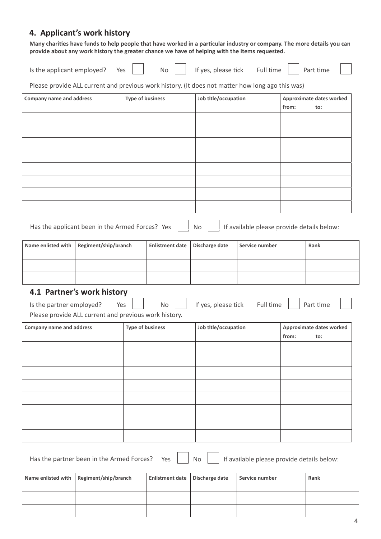## **4. Applicant's work history**

 **provide about any work history the greater chance we have of helping with the items requested. Many charities have funds to help people that have worked in a particular industry or company. The more details you can** 

| Is the applicant employed? | Yes | No. | If yes, please tick | Full time | Part time |
|----------------------------|-----|-----|---------------------|-----------|-----------|
|                            |     |     |                     |           |           |

Please provide ALL current and previous work history. (It does not matter how long ago this was)

| <b>Company name and address</b> |                                                       | <b>Type of business</b> |                        | Job title/occupation |                                            | Approximate dates worked<br>from:<br>to: |                                 |  |
|---------------------------------|-------------------------------------------------------|-------------------------|------------------------|----------------------|--------------------------------------------|------------------------------------------|---------------------------------|--|
|                                 |                                                       |                         |                        |                      |                                            |                                          |                                 |  |
|                                 |                                                       |                         |                        |                      |                                            |                                          |                                 |  |
|                                 |                                                       |                         |                        |                      |                                            |                                          |                                 |  |
|                                 |                                                       |                         |                        |                      |                                            |                                          |                                 |  |
|                                 |                                                       |                         |                        |                      |                                            |                                          |                                 |  |
|                                 |                                                       |                         |                        |                      |                                            |                                          |                                 |  |
|                                 |                                                       |                         |                        |                      |                                            |                                          |                                 |  |
|                                 |                                                       |                         |                        |                      |                                            |                                          |                                 |  |
|                                 | Has the applicant been in the Armed Forces? Yes       |                         |                        | No                   | If available please provide details below: |                                          |                                 |  |
| Name enlisted with              | Regiment/ship/branch                                  |                         | <b>Enlistment date</b> | Discharge date       | Service number                             |                                          | Rank                            |  |
|                                 |                                                       |                         |                        |                      |                                            |                                          |                                 |  |
|                                 |                                                       |                         |                        |                      |                                            |                                          |                                 |  |
|                                 | 4.1 Partner's work history                            |                         |                        |                      |                                            |                                          |                                 |  |
| Is the partner employed?        | Yes                                                   |                         | <b>No</b>              | If yes, please tick  | Full time                                  |                                          | Part time                       |  |
|                                 | Please provide ALL current and previous work history. |                         |                        |                      |                                            |                                          |                                 |  |
| <b>Company name and address</b> |                                                       | <b>Type of business</b> |                        | Job title/occupation |                                            | from:                                    | Approximate dates worked<br>to: |  |
|                                 |                                                       |                         |                        |                      |                                            |                                          |                                 |  |
|                                 |                                                       |                         |                        |                      |                                            |                                          |                                 |  |
|                                 |                                                       |                         |                        |                      |                                            |                                          |                                 |  |
|                                 |                                                       |                         |                        |                      |                                            |                                          |                                 |  |
|                                 |                                                       |                         |                        |                      |                                            |                                          |                                 |  |
|                                 |                                                       |                         |                        |                      |                                            |                                          |                                 |  |
|                                 |                                                       |                         |                        |                      |                                            |                                          |                                 |  |
|                                 |                                                       |                         |                        |                      |                                            |                                          |                                 |  |
|                                 | Has the partner been in the Armed Forces?             |                         | Yes                    | No                   | If available please provide details below: |                                          |                                 |  |

| Name enlisted with $ $ Regiment/ship/branch | Enlistment date   Discharge date | Service number | Rank |
|---------------------------------------------|----------------------------------|----------------|------|
|                                             |                                  |                |      |
|                                             |                                  |                |      |
|                                             |                                  |                |      |
|                                             |                                  |                |      |
|                                             |                                  |                |      |
|                                             |                                  |                |      |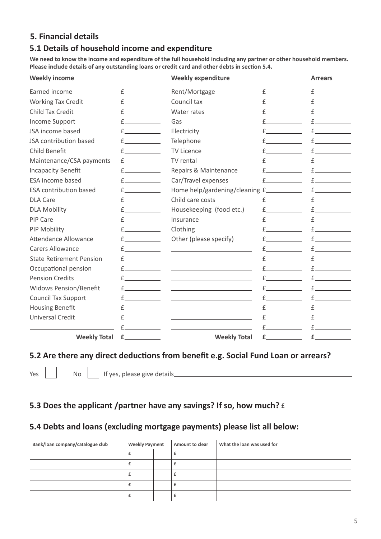## **5. Financial details**

### **5.1 Details of household income and expenditure**

**We need to know the income and expenditure of the full household including any partner or other household members. Please include details of any outstanding loans or credit card and other debts in section 5.4.**

| <b>Weekly income</b>            |                                                                                                                                                                                                                               | <b>Weekly expenditure</b>                                                                                                                                                                                                            |                   | <b>Arrears</b>                                                                                                                                                                                                                |
|---------------------------------|-------------------------------------------------------------------------------------------------------------------------------------------------------------------------------------------------------------------------------|--------------------------------------------------------------------------------------------------------------------------------------------------------------------------------------------------------------------------------------|-------------------|-------------------------------------------------------------------------------------------------------------------------------------------------------------------------------------------------------------------------------|
| Earned income                   | $f$ and $f$                                                                                                                                                                                                                   | Rent/Mortgage                                                                                                                                                                                                                        | $f \sim$          | f                                                                                                                                                                                                                             |
| <b>Working Tax Credit</b>       | $f \sim$                                                                                                                                                                                                                      | Council tax                                                                                                                                                                                                                          |                   | $f \sim$                                                                                                                                                                                                                      |
| Child Tax Credit                | f.                                                                                                                                                                                                                            | Water rates                                                                                                                                                                                                                          |                   | $f \sim$                                                                                                                                                                                                                      |
| <b>Income Support</b>           | f                                                                                                                                                                                                                             | Gas                                                                                                                                                                                                                                  |                   | $f$ and $f$                                                                                                                                                                                                                   |
| JSA income based                | $f \sim$                                                                                                                                                                                                                      | Electricity                                                                                                                                                                                                                          |                   | $f_{\perp}$ and $f_{\perp}$                                                                                                                                                                                                   |
| JSA contribution based          | $f \sim$                                                                                                                                                                                                                      | Telephone                                                                                                                                                                                                                            |                   | $f \sim$                                                                                                                                                                                                                      |
| Child Benefit                   | $f \sim$                                                                                                                                                                                                                      | <b>TV Licence</b>                                                                                                                                                                                                                    |                   | $f_{\perp}$ and $f_{\perp}$                                                                                                                                                                                                   |
| Maintenance/CSA payments        | $f \sim$                                                                                                                                                                                                                      | TV rental                                                                                                                                                                                                                            |                   | $f \sim$                                                                                                                                                                                                                      |
| <b>Incapacity Benefit</b>       | $f$ and $f$ and $f$ and $f$ and $f$ and $f$ and $f$ and $f$ and $f$ and $f$ and $f$ and $f$ and $f$ and $f$ and $f$ and $f$ and $f$ and $f$ and $f$ and $f$ and $f$ and $f$ and $f$ and $f$ and $f$ and $f$ and $f$ and $f$ a | Repairs & Maintenance                                                                                                                                                                                                                |                   | £                                                                                                                                                                                                                             |
| ESA income based                | $f_{\perp}$ and $f_{\perp}$                                                                                                                                                                                                   | Car/Travel expenses                                                                                                                                                                                                                  |                   | $f_{\perp}$ and $f_{\perp}$                                                                                                                                                                                                   |
| <b>ESA contribution based</b>   | $f \sim$                                                                                                                                                                                                                      | Home help/gardening/cleaning £                                                                                                                                                                                                       |                   | $f$ and $f$ and $f$ and $f$ and $f$ and $f$ and $f$ and $f$ and $f$ and $f$ and $f$ and $f$ and $f$ and $f$ and $f$ and $f$ and $f$ and $f$ and $f$ and $f$ and $f$ and $f$ and $f$ and $f$ and $f$ and $f$ and $f$ and $f$ a |
| <b>DLA Care</b>                 | $f \sim$                                                                                                                                                                                                                      | Child care costs                                                                                                                                                                                                                     | $\mathsf{f}$      | $f$ and $f$                                                                                                                                                                                                                   |
| <b>DLA Mobility</b>             | $f$ and $f$                                                                                                                                                                                                                   | Housekeeping (food etc.)                                                                                                                                                                                                             |                   | $f$ and $f$ and $f$ and $f$ and $f$ and $f$ and $f$ and $f$ and $f$ and $f$ and $f$ and $f$ and $f$ and $f$ and $f$ and $f$ and $f$ and $f$ and $f$ and $f$ and $f$ and $f$ and $f$ and $f$ and $f$ and $f$ and $f$ and $f$ a |
| <b>PIP Care</b>                 | $f \sim$                                                                                                                                                                                                                      | Insurance                                                                                                                                                                                                                            |                   | $f_{\perp}$ and $f_{\perp}$                                                                                                                                                                                                   |
| PIP Mobility                    | $f$ and $f$                                                                                                                                                                                                                   | Clothing                                                                                                                                                                                                                             |                   | $f \sim$                                                                                                                                                                                                                      |
| <b>Attendance Allowance</b>     | $f$ and $f$                                                                                                                                                                                                                   | Other (please specify)                                                                                                                                                                                                               | $f \sim$ $\sim$   | $f \sim$                                                                                                                                                                                                                      |
| <b>Carers Allowance</b>         | $f \sim$                                                                                                                                                                                                                      | <u>and the state of the state of the state of the state of the state of the state of the state of the state of the state of the state of the state of the state of the state of the state of the state of the state of the state</u> |                   | $\mathsf{f}$                                                                                                                                                                                                                  |
| <b>State Retirement Pension</b> | $f \sim$                                                                                                                                                                                                                      | <u> 1989 - Johann Harry Harry Harry Harry Harry Harry Harry Harry Harry Harry Harry Harry Harry Harry Harry Harry</u>                                                                                                                | $f \sim$          | $f \sim \frac{1}{2}$                                                                                                                                                                                                          |
| Occupational pension            | f                                                                                                                                                                                                                             |                                                                                                                                                                                                                                      | f                 | $f \sim$                                                                                                                                                                                                                      |
| <b>Pension Credits</b>          | f                                                                                                                                                                                                                             | the control of the control of the control of the                                                                                                                                                                                     | $f_{-}$           | £.                                                                                                                                                                                                                            |
| <b>Widows Pension/Benefit</b>   | f                                                                                                                                                                                                                             | <u> 1989 - Johann Harry Harry Harry Harry Harry Harry Harry Harry Harry Harry Harry Harry Harry Harry Harry Harry</u>                                                                                                                | $f \qquad \qquad$ | $E_{-}$                                                                                                                                                                                                                       |
| <b>Council Tax Support</b>      | f                                                                                                                                                                                                                             | <u> 1990 - John Stein, Amerikaansk politiker (</u>                                                                                                                                                                                   | £                 | $f_{\perp}$ and $f_{\perp}$                                                                                                                                                                                                   |
| <b>Housing Benefit</b>          | f                                                                                                                                                                                                                             |                                                                                                                                                                                                                                      | f                 | £                                                                                                                                                                                                                             |
| <b>Universal Credit</b>         | f                                                                                                                                                                                                                             | the control of the control of the control of the control of                                                                                                                                                                          | $f \sim$          | $f \sim \frac{1}{2}$                                                                                                                                                                                                          |
|                                 |                                                                                                                                                                                                                               |                                                                                                                                                                                                                                      | f                 | $f_{\perp}$ and $f_{\perp}$                                                                                                                                                                                                   |
| <b>Weekly Total</b>             | £.                                                                                                                                                                                                                            | <b>Weekly Total</b>                                                                                                                                                                                                                  | $f_{-}$           | $f$ and $f$ and $f$ and $f$ and $f$ and $f$ and $f$ and $f$ and $f$ and $f$ and $f$ and $f$ and $f$ and $f$ and $f$ and $f$ and $f$ and $f$ and $f$ and $f$ and $f$ and $f$ and $f$ and $f$ and $f$ and $f$ and $f$ and $f$ a |

#### **5.2 Are there any direct deductions from benefit e.g. Social Fund Loan or arrears?**

Yes No I fyes, please give details No I and No I and No I and No I also please give details

# **5.3 Does the applicant /partner have any savings? If so, how much?** £

### **5.4 Debts and loans (excluding mortgage payments) please list all below:**

| Bank/loan company/catalogue club | <b>Weekly Payment</b> |  | Amount to clear |  | What the loan was used for |
|----------------------------------|-----------------------|--|-----------------|--|----------------------------|
|                                  |                       |  |                 |  |                            |
|                                  |                       |  |                 |  |                            |
|                                  |                       |  |                 |  |                            |
|                                  |                       |  |                 |  |                            |
|                                  |                       |  |                 |  |                            |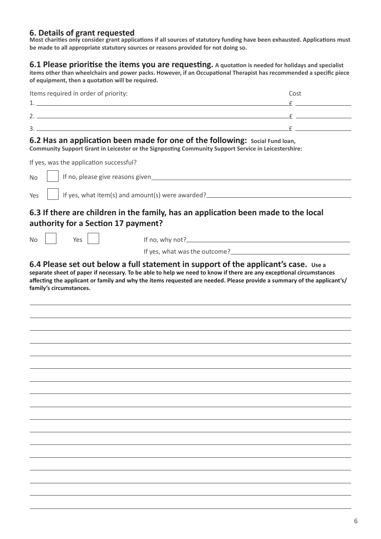## **6. Details of grant requested**

 **be made to all appropriate statutory sources or reasons provided for not doing so. Most charities only consider grant applications if all sources of statutory funding have been exhausted. Applications must** 

 **of equipment, then a quotation will be required. 6.1 Please prioritise the items you are requesting. A quotation is needed for holidays and specialist items other than wheelchairs and power packs. However, if an Occupational Therapist has recommended a specific piece** 

| Items required in order of priority: | Cost |
|--------------------------------------|------|
| л                                    |      |
|                                      |      |
| ◠<br>ر                               |      |

#### **6.2 Has an application been made for one of the following: Social Fund loan,**

**Community Support Grant in Leicester or the Signposting Community Support Service in Leicestershire:** 

If yes, was the application successful?

| If yes, was the application successful? |                                                                                                                        |
|-----------------------------------------|------------------------------------------------------------------------------------------------------------------------|
| <b>No</b>                               |                                                                                                                        |
| Yes                                     | If yes, what item(s) and amount(s) were awarded? _______________________________                                       |
| authority for a Section 17 payment?     | 6.3 If there are children in the family, has an application been made to the local                                     |
| Yes<br><b>No</b>                        |                                                                                                                        |
|                                         |                                                                                                                        |
| family's circumstances.                 | affecting the applicant or family and why the items requested are needed. Please provide a summary of the applicant's/ |
|                                         |                                                                                                                        |
|                                         |                                                                                                                        |
|                                         |                                                                                                                        |
|                                         |                                                                                                                        |
|                                         |                                                                                                                        |
|                                         |                                                                                                                        |
|                                         |                                                                                                                        |
|                                         |                                                                                                                        |
|                                         |                                                                                                                        |
|                                         |                                                                                                                        |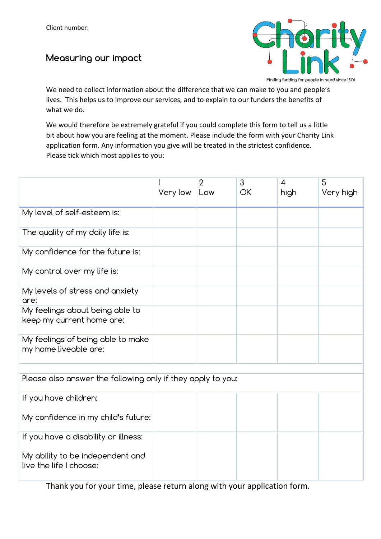# Measuring our impact



Finding funding for people in need since 1876

We need to collect information about the difference that we can make to you and people's lives. This helps us to improve our services, and to explain to our funders the benefits of what we do.

We would therefore be extremely grateful if you could complete this form to tell us a little bit about how you are feeling at the moment. Please include the form with your Charity Link application form. Any information you give will be treated in the strictest confidence. Please tick which most applies to you:

|                                                              | Very low | $\overline{2}$<br>Low | 3<br><b>OK</b> | $\overline{4}$<br>high | 5<br>Very high |
|--------------------------------------------------------------|----------|-----------------------|----------------|------------------------|----------------|
| My level of self-esteem is:                                  |          |                       |                |                        |                |
| The quality of my daily life is:                             |          |                       |                |                        |                |
| My confidence for the future is:                             |          |                       |                |                        |                |
| My control over my life is:                                  |          |                       |                |                        |                |
| My levels of stress and anxiety<br>are:                      |          |                       |                |                        |                |
| My feelings about being able to<br>keep my current home are: |          |                       |                |                        |                |
| My feelings of being able to make<br>my home liveable are:   |          |                       |                |                        |                |
| Please also answer the following only if they apply to you:  |          |                       |                |                        |                |
|                                                              |          |                       |                |                        |                |
| If you have children:                                        |          |                       |                |                        |                |
| My confidence in my child's future:                          |          |                       |                |                        |                |
| If you have a disability or illness:                         |          |                       |                |                        |                |
| My ability to be independent and<br>live the life I choose:  |          |                       |                |                        |                |

Thank you for your time, please return along with your application form.